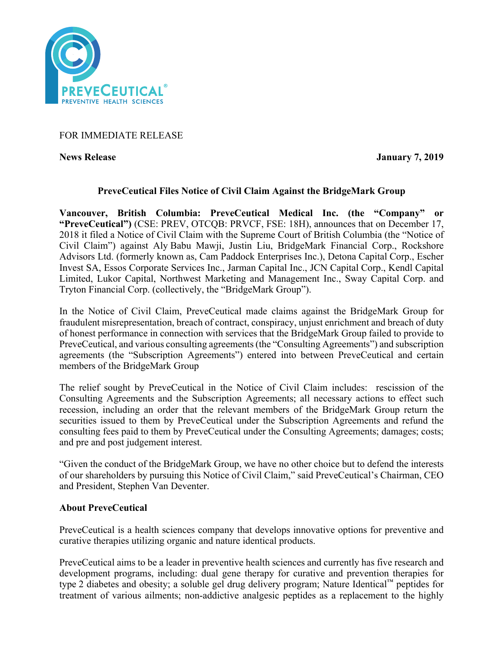

# FOR IMMEDIATE RELEASE

**News Release January 7, 2019**

## **PreveCeutical Files Notice of Civil Claim Against the BridgeMark Group**

**Vancouver, British Columbia: PreveCeutical Medical Inc. (the "Company" or "PreveCeutical")** (CSE: PREV, OTCQB: PRVCF, FSE: 18H), announces that on December 17, 2018 it filed a Notice of Civil Claim with the Supreme Court of British Columbia (the "Notice of Civil Claim") against Aly Babu Mawji, Justin Liu, BridgeMark Financial Corp., Rockshore Advisors Ltd. (formerly known as, Cam Paddock Enterprises Inc.), Detona Capital Corp., Escher Invest SA, Essos Corporate Services Inc., Jarman Capital Inc., JCN Capital Corp., Kendl Capital Limited, Lukor Capital, Northwest Marketing and Management Inc., Sway Capital Corp. and Tryton Financial Corp. (collectively, the "BridgeMark Group").

In the Notice of Civil Claim, PreveCeutical made claims against the BridgeMark Group for fraudulent misrepresentation, breach of contract, conspiracy, unjust enrichment and breach of duty of honest performance in connection with services that the BridgeMark Group failed to provide to PreveCeutical, and various consulting agreements (the "Consulting Agreements") and subscription agreements (the "Subscription Agreements") entered into between PreveCeutical and certain members of the BridgeMark Group

The relief sought by PreveCeutical in the Notice of Civil Claim includes: rescission of the Consulting Agreements and the Subscription Agreements; all necessary actions to effect such recession, including an order that the relevant members of the BridgeMark Group return the securities issued to them by PreveCeutical under the Subscription Agreements and refund the consulting fees paid to them by PreveCeutical under the Consulting Agreements; damages; costs; and pre and post judgement interest.

"Given the conduct of the BridgeMark Group, we have no other choice but to defend the interests of our shareholders by pursuing this Notice of Civil Claim," said PreveCeutical's Chairman, CEO and President, Stephen Van Deventer.

### **About PreveCeutical**

PreveCeutical is a health sciences company that develops innovative options for preventive and curative therapies utilizing organic and nature identical products.

PreveCeutical aims to be a leader in preventive health sciences and currently has five research and development programs, including: dual gene therapy for curative and prevention therapies for type 2 diabetes and obesity; a soluble gel drug delivery program; Nature Identical™ peptides for treatment of various ailments; non-addictive analgesic peptides as a replacement to the highly